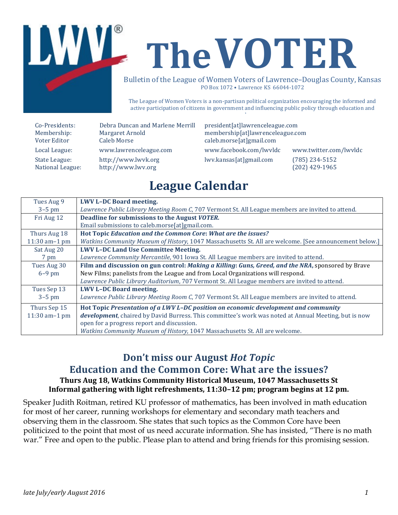

The League of Women Voters is a non-partisan political organization encouraging the informed and active participation of citizens in government and influencing public policy through education and advocacy.

| Co-Presidents:   | Debra Duncan and Marlene Merrill | president[at]lawrenceleague.com  |                        |
|------------------|----------------------------------|----------------------------------|------------------------|
| Membership:      | Margaret Arnold                  | membership[at]lawrenceleague.com |                        |
| Voter Editor     | <b>Caleb Morse</b>               | caleb.morse[at]gmail.com         |                        |
| Local League:    | www.lawrenceleague.com           | www.facebook.com/lwvldc          | www.twitter.com/lwvldc |
| State League:    | http://www.lwvk.org              | lwv.kansas[at]gmail.com          | $(785)$ 234-5152       |
| National League: | http://www.lwv.org               |                                  | $(202)$ 429-1965       |

## **League Calendar**

| Tues Aug 9       | <b>LWV L-DC Board meeting.</b>                                                                         |
|------------------|--------------------------------------------------------------------------------------------------------|
| $3-5$ pm         | Lawrence Public Library Meeting Room C, 707 Vermont St. All League members are invited to attend.      |
| Fri Aug 12       | Deadline for submissions to the August VOTER.                                                          |
|                  | Email submissions to caleb.morse[at]gmail.com.                                                         |
| Thurs Aug 18     | Hot Topic Education and the Common Core: What are the issues?                                          |
| 11:30 am $-1$ pm | Watkins Community Museum of History, 1047 Massachusetts St. All are welcome. [See announcement below.] |
| Sat Aug 20       | <b>LWV L-DC Land Use Committee Meeting.</b>                                                            |
| 7 pm             | Lawrence Community Mercantile, 901 Iowa St. All League members are invited to attend.                  |
| Tues Aug 30      | Film and discussion on gun control: Making a Killing: Guns, Greed, and the NRA, sponsored by Brave     |
| $6-9$ pm         | New Films; panelists from the League and from Local Organizations will respond.                        |
|                  | Lawrence Public Library Auditorium, 707 Vermont St. All League members are invited to attend.          |
| Tues Sep 13      | <b>LWV L-DC Board meeting.</b>                                                                         |
| $3-5$ pm         | Lawrence Public Library Meeting Room C, 707 Vermont St. All League members are invited to attend.      |
| Thurs Sep 15     | Hot Topic Presentation of a LWV L-DC position on economic development and community                    |
| 11:30 am $-1$ pm | development, chaired by David Burress. This committee's work was noted at Annual Meeting, but is now   |
|                  | open for a progress report and discussion.                                                             |
|                  | Watkins Community Museum of History, 1047 Massachusetts St. All are welcome.                           |

#### **Don't miss our August** *Hot Topic*

# **Education and the Common Core: What are the issues?**

#### **Thurs Aug 18, Watkins Community Historical Museum, 1047 Massachusetts St** Informal gathering with light refreshments, 11:30-12 pm; program begins at 12 pm.

Speaker Judith Roitman, retired KU professor of mathematics, has been involved in math education for most of her career, running workshops for elementary and secondary math teachers and observing them in the classroom. She states that such topics as the Common Core have been politicized to the point that most of us need accurate information. She has insisted, "There is no math war." Free and open to the public. Please plan to attend and bring friends for this promising session.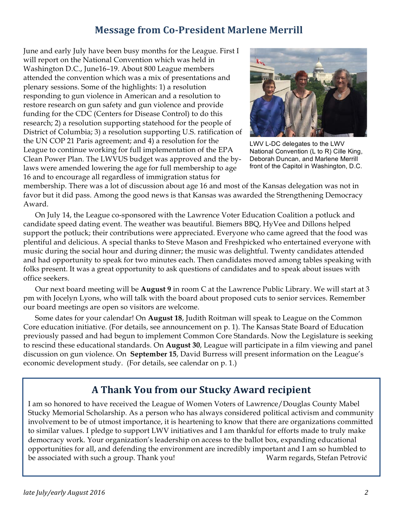#### **Message from Co-President Marlene Merrill**

June and early July have been busy months for the League. First I will report on the National Convention which was held in Washington D.C., June16–19. About 800 League members attended the convention which was a mix of presentations and plenary sessions. Some of the highlights: 1) a resolution responding to gun violence in American and a resolution to restore research on gun safety and gun violence and provide funding for the CDC (Centers for Disease Control) to do this research; 2) a resolution supporting statehood for the people of District of Columbia; 3) a resolution supporting U.S. ratification of the UN COP 21 Paris agreement; and 4) a resolution for the League to continue working for full implementation of the EPA Clean Power Plan. The LWVUS budget was approved and the bylaws were amended lowering the age for full membership to age 16 and to encourage all regardless of immigration status for



LWV L-DC delegates to the LWV National Convention (L to R) Cille King, Deborah Duncan, and Marlene Merrill front of the Capitol in Washington, D.C.

membership. There was a lot of discussion about age 16 and most of the Kansas delegation was not in favor but it did pass. Among the good news is that Kansas was awarded the Strengthening Democracy Award.

On July 14, the League co-sponsored with the Lawrence Voter Education Coalition a potluck and candidate speed dating event. The weather was beautiful. Biemers BBQ, HyVee and Dillons helped support the potluck; their contributions were appreciated. Everyone who came agreed that the food was plentiful and delicious. A special thanks to Steve Mason and Freshpicked who entertained everyone with music during the social hour and during dinner; the music was delightful. Twenty candidates attended and had opportunity to speak for two minutes each. Then candidates moved among tables speaking with folks present. It was a great opportunity to ask questions of candidates and to speak about issues with office seekers.

Our next board meeting will be **August 9** in room C at the Lawrence Public Library. We will start at 3 pm with Jocelyn Lyons, who will talk with the board about proposed cuts to senior services. Remember our board meetings are open so visitors are welcome.

Some dates for your calendar! On **August 18**, Judith Roitman will speak to League on the Common Core education initiative. (For details, see announcement on p. 1). The Kansas State Board of Education previously passed and had begun to implement Common Core Standards. Now the Legislature is seeking to rescind these educational standards. On **August 30**, League will participate in a film viewing and panel discussion on gun violence. On **September 15**, David Burress will present information on the League's economic development study. (For details, see calendar on p. 1.)

## **A Thank You from our Stucky Award recipient**

I am so honored to have received the League of Women Voters of Lawrence/Douglas County Mabel Stucky Memorial Scholarship. As a person who has always considered political activism and community involvement to be of utmost importance, it is heartening to know that there are organizations committed to similar values. I pledge to support LWV initiatives and I am thankful for efforts made to truly make democracy work. Your organization's leadership on access to the ballot box, expanding educational opportunities for all, and defending the environment are incredibly important and I am so humbled to be associated with such a group. Thank you! Warm regards, Stefan Petrović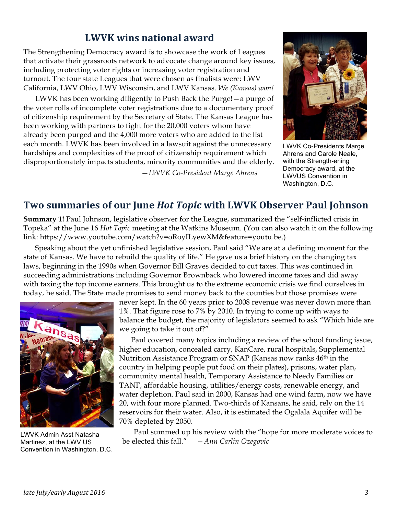#### **LWVK wins national award**

The Strengthening Democracy award is to showcase the work of Leagues that activate their grassroots network to advocate change around key issues, including protecting voter rights or increasing voter registration and turnout. The four state Leagues that were chosen as finalists were: LWV California, LWV Ohio, LWV Wisconsin, and LWV Kansas. *We (Kansas) won!*

LWVK has been working diligently to Push Back the Purge!—a purge of the voter rolls of incomplete voter registrations due to a documentary proof of citizenship requirement by the Secretary of State. The Kansas League has been working with partners to fight for the 20,000 voters whom have already been purged and the 4,000 more voters who are added to the list each month. LWVK has been involved in a lawsuit against the unnecessary hardships and complexities of the proof of citizenship requirement which disproportionately impacts students, minority communities and the elderly.

—*LWVK Co-President Marge Ahrens*



LWVK Co-Presidents Marge Ahrens and Carole Neale, with the Strength-ening Democracy award, at the LWVUS Convention in Washington, D.C.

#### **Two summaries of our June** *Hot Topic* **with LWVK Observer Paul Johnson**

**Summary 1!** Paul Johnson, legislative observer for the League, summarized the "self-inflicted crisis in Topeka" at the June 16 *Hot Topic* meeting at the Watkins Museum. (You can also watch it on the following link: https://www.youtube.com/watch?v=oRoyILyewXM&feature=youtu.be.)

Speaking about the yet unfinished legislative session, Paul said "We are at a defining moment for the state of Kansas. We have to rebuild the quality of life." He gave us a brief history on the changing tax laws, beginning in the 1990s when Governor Bill Graves decided to cut taxes. This was continued in succeeding administrations including Governor Brownback who lowered income taxes and did away with taxing the top income earners. This brought us to the extreme economic crisis we find ourselves in today, he said. The State made promises to send money back to the counties but those promises were



LWVK Admin Asst Natasha Martinez, at the LWV US Convention in Washington, D.C.

never kept. In the 60 years prior to 2008 revenue was never down more than 1%. That figure rose to 7% by 2010. In trying to come up with ways to balance the budget, the majority of legislators seemed to ask "Which hide are we going to take it out of?"

Paul covered many topics including a review of the school funding issue, higher education, concealed carry, KanCare, rural hospitals, Supplemental Nutrition Assistance Program or SNAP (Kansas now ranks 46<sup>th</sup> in the country in helping people put food on their plates), prisons, water plan, community mental health, Temporary Assistance to Needy Families or TANF, affordable housing, utilities/energy costs, renewable energy, and water depletion. Paul said in 2000, Kansas had one wind farm, now we have 20, with four more planned. Two-thirds of Kansans, he said, rely on the 14 reservoirs for their water. Also, it is estimated the Ogalala Aquifer will be 70% depleted by 2050.

Paul summed up his review with the "hope for more moderate voices to be elected this fall." *—Ann Carlin Ozegovic*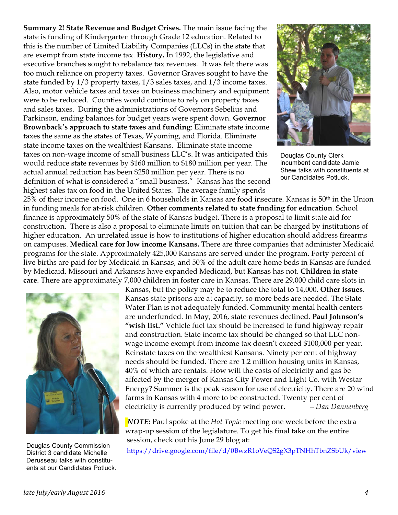**Summary 2! State Revenue and Budget Crises.** The main issue facing the state is funding of Kindergarten through Grade 12 education. Related to this is the number of Limited Liability Companies (LLCs) in the state that are exempt from state income tax. **History.** In 1992, the legislative and executive branches sought to rebalance tax revenues. It was felt there was too much reliance on property taxes. Governor Graves sought to have the state funded by 1/3 property taxes, 1/3 sales taxes, and 1/3 income taxes. Also, motor vehicle taxes and taxes on business machinery and equipment were to be reduced. Counties would continue to rely on property taxes and sales taxes. During the administrations of Governors Sebelius and Parkinson, ending balances for budget years were spent down. **Governor Brownback's approach to state taxes and funding**: Eliminate state income taxes the same as the states of Texas, Wyoming, and Florida. Eliminate state income taxes on the wealthiest Kansans. Eliminate state income taxes on non-wage income of small business LLC's. It was anticipated this would reduce state revenues by \$160 million to \$180 million per year. The actual annual reduction has been \$250 million per year. There is no definition of what is considered a "small business." Kansas has the second highest sales tax on food in the United States. The average family spends



Douglas County Clerk incumbent candidate Jamie Shew talks with constituents at our Candidates Potluck.

25% of their income on food. One in 6 households in Kansas are food insecure. Kansas is 50<sup>th</sup> in the Union in funding meals for at-risk children. **Other comments related to state funding for education**. School finance is approximately 50% of the state of Kansas budget. There is a proposal to limit state aid for construction. There is also a proposal to eliminate limits on tuition that can be charged by institutions of higher education. An unrelated issue is how to institutions of higher education should address firearms on campuses. **Medical care for low income Kansans.** There are three companies that administer Medicaid programs for the state. Approximately 425,000 Kansans are served under the program. Forty percent of live births are paid for by Medicaid in Kansas, and 50% of the adult care home beds in Kansas are funded by Medicaid. Missouri and Arkansas have expanded Medicaid, but Kansas has not. **Children in state care**. There are approximately 7,000 children in foster care in Kansas. There are 29,000 child care slots in



District 3 candidate Michelle Derusseau talks with constituents at our Candidates Potluck.

Kansas, but the policy may be to reduce the total to 14,000. **Other issues**. Kansas state prisons are at capacity, so more beds are needed. The State Water Plan is not adequately funded. Community mental health centers are underfunded. In May, 2016, state revenues declined. **Paul Johnson's "wish list."** Vehicle fuel tax should be increased to fund highway repair and construction. State income tax should be changed so that LLC nonwage income exempt from income tax doesn't exceed \$100,000 per year. Reinstate taxes on the wealthiest Kansans. Ninety per cent of highway needs should be funded. There are 1.2 million housing units in Kansas, 40% of which are rentals. How will the costs of electricity and gas be affected by the merger of Kansas City Power and Light Co. with Westar Energy? Summer is the peak season for use of electricity. There are 20 wind farms in Kansas with 4 more to be constructed. Twenty per cent of electricity is currently produced by wind power. *—Dan Dannenberg*

*NOTE***:** Paul spoke at the *Hot Topic* meeting one week before the extra wrap-up session of the legislature. To get his final take on the entire session, check out his June 29 blog at:

Douglas County Commission<br>District 3 candidate Michelle https://drive.google.com/file/d/0BwzR1oVeQS2gX3pTNHhTbnZSbUk/view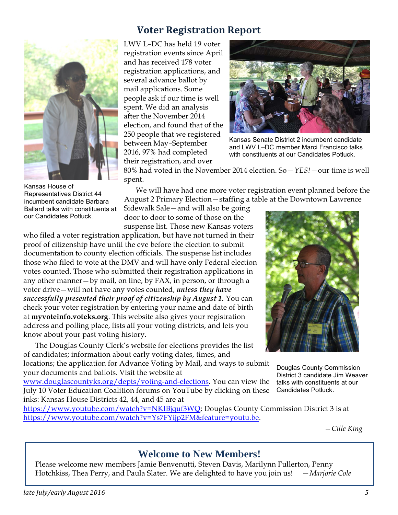

Kansas House of Representatives District 44 incumbent candidate Barbara Ballard talks with constituents at our Candidates Potluck.

## **Voter Registration Report**

LWV L–DC has held 19 voter registration events since April and has received 178 voter registration applications, and several advance ballot by mail applications. Some people ask if our time is well spent. We did an analysis after the November 2014 election, and found that of the 250 people that we registered between May–September 2016, 97% had completed their registration, and over



Kansas Senate District 2 incumbent candidate and LWV L–DC member Marci Francisco talks with constituents at our Candidates Potluck.

80% had voted in the November 2014 election. So—*YES!*—our time is well spent.

We will have had one more voter registration event planned before the August 2 Primary Election—staffing a table at the Downtown Lawrence

Sidewalk Sale—and will also be going door to door to some of those on the suspense list. Those new Kansas voters

who filed a voter registration application, but have not turned in their proof of citizenship have until the eve before the election to submit documentation to county election officials. The suspense list includes those who filed to vote at the DMV and will have only Federal election votes counted. Those who submitted their registration applications in any other manner—by mail, on line, by FAX, in person, or through a voter drive—will not have any votes counted, *unless they have successfully presented their proof of citizenship by August 1.* You can check your voter registration by entering your name and date of birth at **myvoteinfo.voteks.org**. This website also gives your registration address and polling place, lists all your voting districts, and lets you know about your past voting history.

The Douglas County Clerk's website for elections provides the list of candidates; information about early voting dates, times, and

locations; the application for Advance Voting by Mail, and ways to submit your documents and ballots. Visit the website at

www.douglascountyks.org/depts/voting-and-elections. You can view the July 10 Voter Education Coalition forums on YouTube by clicking on these inks: Kansas House Districts 42, 44, and 45 are at

https://www.youtube.com/watch?v=NKIBjquf3WQ; Douglas County Commission District 3 is at https://www.youtube.com/watch?v=Ys7FYijp2FM&feature=youtu.be.

*—Cille King*

#### **Welcome to New Members!**

Please welcome new members Jamie Benvenutti, Steven Davis, Marilynn Fullerton, Penny Hotchkiss, Thea Perry, and Paula Slater. We are delighted to have you join us! —*Marjorie Cole*



Douglas County Commission District 3 candidate Jim Weaver talks with constituents at our Candidates Potluck.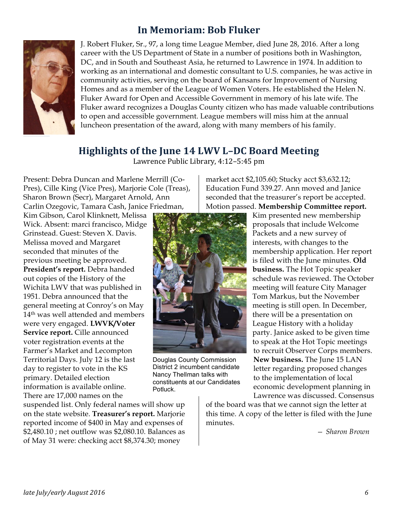## **In Memoriam: Bob Fluker**



J. Robert Fluker, Sr., 97, a long time League Member, died June 28, 2016. After a long career with the US Department of State in a number of positions both in Washington, DC, and in South and Southeast Asia, he returned to Lawrence in 1974. In addition to working as an international and domestic consultant to U.S. companies, he was active in community activities, serving on the board of Kansans for Improvement of Nursing Homes and as a member of the League of Women Voters. He established the Helen N. Fluker Award for Open and Accessible Government in memory of his late wife. The Fluker award recognizes a Douglas County citizen who has made valuable contributions to open and accessible government. League members will miss him at the annual luncheon presentation of the award, along with many members of his family.

#### **Highlights of the June 14 LWV L-DC Board Meeting**

Lawrence Public Library, 4:12-5:45 pm

Present: Debra Duncan and Marlene Merrill (Co-Pres), Cille King (Vice Pres), Marjorie Cole (Treas), Sharon Brown (Secr), Margaret Arnold, Ann Carlin Ozegovic, Tamara Cash, Janice Friedman,

Kim Gibson, Carol Klinknett, Melissa Wick. Absent: marci francisco, Midge Grinstead. Guest: Steven X. Davis. Melissa moved and Margaret seconded that minutes of the previous meeting be approved. **President's report.** Debra handed out copies of the History of the Wichita LWV that was published in 1951. Debra announced that the general meeting at Conroy's on May 14th was well attended and members were very engaged. **LWVK/Voter Service report.** Cille announced voter registration events at the Farmer's Market and Lecompton Territorial Days. July 12 is the last day to register to vote in the KS primary. Detailed election information is available online. There are 17,000 names on the

suspended list. Only federal names will show up on the state website. **Treasurer's report.** Marjorie reported income of \$400 in May and expenses of \$2,480.10 ; net outflow was \$2,080.10. Balances as of May 31 were: checking acct \$8,374.30; money

market acct \$2,105.60; Stucky acct \$3,632.12; Education Fund 339.27. Ann moved and Janice seconded that the treasurer's report be accepted. Motion passed. **Membership Committee report.** 



Douglas County Commission District 2 incumbent candidate Nancy Thellman talks with constituents at our Candidates Potluck.

Kim presented new membership proposals that include Welcome Packets and a new survey of interests, with changes to the membership application. Her report is filed with the June minutes. **Old business.** The Hot Topic speaker schedule was reviewed. The October meeting will feature City Manager Tom Markus, but the November meeting is still open. In December, there will be a presentation on League History with a holiday party. Janice asked to be given time to speak at the Hot Topic meetings to recruit Observer Corps members. **New business.** The June 15 LAN letter regarding proposed changes to the implementation of local economic development planning in Lawrence was discussed. Consensus

of the board was that we cannot sign the letter at this time. A copy of the letter is filed with the June minutes.

*— Sharon Brown*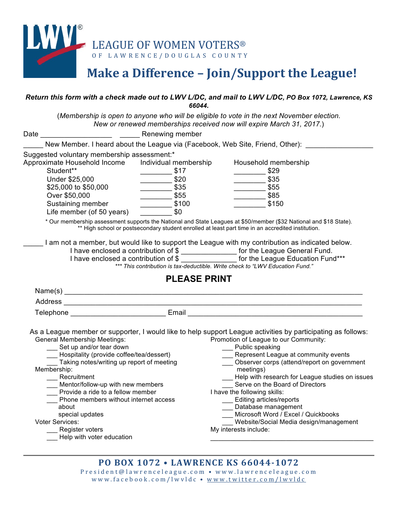

## Make a Difference - Join/Support the League!

#### *Return this form with a check made out to LWV L/DC, and mail to LWV L/DC, PO Box 1072, Lawrence, KS 66044.*

(*Membership is open to anyone who will be eligible to vote in the next November election. New or renewed memberships received now will expire March 31, 2017.*)

| New Member. I heard about the League via (Facebook, Web Site, Friend, Other):<br>Suggested voluntary membership assessment:*<br>Approximate Household Income<br>Individual membership<br>Household membership<br>Student**<br>$\frac{\ }{\ }$ \$17<br>$\frac{\ }{\ }$ \$29<br>$\frac{\ }{\ }$ \$20<br>$\frac{\ }{\ }$ \$35<br>Under \$25,000<br>$\frac{\ }{\ }$ \$35<br>\$25,000 to \$50,000<br>$\frac{\ }{\ }$ \$55<br>$-$ \$55<br>$-$ \$85<br>Over \$50,000<br>\$100<br>Sustaining member<br>\$150<br>Life member (of 50 years)<br>\$0<br>* Our membership assessment supports the National and State Leagues at \$50/member (\$32 National and \$18 State).<br>** High school or postsecondary student enrolled at least part time in an accredited institution.<br>I am not a member, but would like to support the League with my contribution as indicated below.<br>I have enclosed a contribution of \$ ________________ for the League General Fund.<br>I have enclosed a contribution of \$ ________________ for the League Education Fund***<br>*** This contribution is tax-deductible. Write check to "LWV Education Fund."<br><b>PLEASE PRINT</b><br>As a League member or supporter, I would like to help support League activities by participating as follows:<br><b>General Membership Meetings:</b><br>Promotion of League to our Community:<br>__ Set up and/or tear down<br>__ Public speaking<br>Represent League at community events<br>__ Hospitality (provide coffee/tea/dessert)<br>Taking notes/writing up report of meeting<br>Observer corps (attend/report on government<br>Membership:<br>meetings)<br>__ Recruitment<br>Serve on the Board of Directors<br>Mentor/follow-up with new members<br>Provide a ride to a fellow member<br>I have the following skills:<br>Phone members without internet access<br>Editing articles/reports<br>Database management<br>about<br>Microsoft Word / Excel / Quickbooks<br>special updates<br>Voter Services:<br>Website/Social Media design/management<br>Register voters<br>My interests include:<br>Help with voter education<br><b>PO BOX 1072 • LAWRENCE KS 66044-1072</b> | Date | Renewing member |                                                   |
|-------------------------------------------------------------------------------------------------------------------------------------------------------------------------------------------------------------------------------------------------------------------------------------------------------------------------------------------------------------------------------------------------------------------------------------------------------------------------------------------------------------------------------------------------------------------------------------------------------------------------------------------------------------------------------------------------------------------------------------------------------------------------------------------------------------------------------------------------------------------------------------------------------------------------------------------------------------------------------------------------------------------------------------------------------------------------------------------------------------------------------------------------------------------------------------------------------------------------------------------------------------------------------------------------------------------------------------------------------------------------------------------------------------------------------------------------------------------------------------------------------------------------------------------------------------------------------------------------------------------------------------------------------------------------------------------------------------------------------------------------------------------------------------------------------------------------------------------------------------------------------------------------------------------------------------------------------------------------------------------------------------------------------------------------------------------------------------------------------------------------------------------------------|------|-----------------|---------------------------------------------------|
|                                                                                                                                                                                                                                                                                                                                                                                                                                                                                                                                                                                                                                                                                                                                                                                                                                                                                                                                                                                                                                                                                                                                                                                                                                                                                                                                                                                                                                                                                                                                                                                                                                                                                                                                                                                                                                                                                                                                                                                                                                                                                                                                                       |      |                 |                                                   |
|                                                                                                                                                                                                                                                                                                                                                                                                                                                                                                                                                                                                                                                                                                                                                                                                                                                                                                                                                                                                                                                                                                                                                                                                                                                                                                                                                                                                                                                                                                                                                                                                                                                                                                                                                                                                                                                                                                                                                                                                                                                                                                                                                       |      |                 |                                                   |
|                                                                                                                                                                                                                                                                                                                                                                                                                                                                                                                                                                                                                                                                                                                                                                                                                                                                                                                                                                                                                                                                                                                                                                                                                                                                                                                                                                                                                                                                                                                                                                                                                                                                                                                                                                                                                                                                                                                                                                                                                                                                                                                                                       |      |                 |                                                   |
|                                                                                                                                                                                                                                                                                                                                                                                                                                                                                                                                                                                                                                                                                                                                                                                                                                                                                                                                                                                                                                                                                                                                                                                                                                                                                                                                                                                                                                                                                                                                                                                                                                                                                                                                                                                                                                                                                                                                                                                                                                                                                                                                                       |      |                 |                                                   |
|                                                                                                                                                                                                                                                                                                                                                                                                                                                                                                                                                                                                                                                                                                                                                                                                                                                                                                                                                                                                                                                                                                                                                                                                                                                                                                                                                                                                                                                                                                                                                                                                                                                                                                                                                                                                                                                                                                                                                                                                                                                                                                                                                       |      |                 |                                                   |
|                                                                                                                                                                                                                                                                                                                                                                                                                                                                                                                                                                                                                                                                                                                                                                                                                                                                                                                                                                                                                                                                                                                                                                                                                                                                                                                                                                                                                                                                                                                                                                                                                                                                                                                                                                                                                                                                                                                                                                                                                                                                                                                                                       |      |                 |                                                   |
|                                                                                                                                                                                                                                                                                                                                                                                                                                                                                                                                                                                                                                                                                                                                                                                                                                                                                                                                                                                                                                                                                                                                                                                                                                                                                                                                                                                                                                                                                                                                                                                                                                                                                                                                                                                                                                                                                                                                                                                                                                                                                                                                                       |      |                 |                                                   |
|                                                                                                                                                                                                                                                                                                                                                                                                                                                                                                                                                                                                                                                                                                                                                                                                                                                                                                                                                                                                                                                                                                                                                                                                                                                                                                                                                                                                                                                                                                                                                                                                                                                                                                                                                                                                                                                                                                                                                                                                                                                                                                                                                       |      |                 |                                                   |
|                                                                                                                                                                                                                                                                                                                                                                                                                                                                                                                                                                                                                                                                                                                                                                                                                                                                                                                                                                                                                                                                                                                                                                                                                                                                                                                                                                                                                                                                                                                                                                                                                                                                                                                                                                                                                                                                                                                                                                                                                                                                                                                                                       |      |                 |                                                   |
|                                                                                                                                                                                                                                                                                                                                                                                                                                                                                                                                                                                                                                                                                                                                                                                                                                                                                                                                                                                                                                                                                                                                                                                                                                                                                                                                                                                                                                                                                                                                                                                                                                                                                                                                                                                                                                                                                                                                                                                                                                                                                                                                                       |      |                 |                                                   |
|                                                                                                                                                                                                                                                                                                                                                                                                                                                                                                                                                                                                                                                                                                                                                                                                                                                                                                                                                                                                                                                                                                                                                                                                                                                                                                                                                                                                                                                                                                                                                                                                                                                                                                                                                                                                                                                                                                                                                                                                                                                                                                                                                       |      |                 |                                                   |
|                                                                                                                                                                                                                                                                                                                                                                                                                                                                                                                                                                                                                                                                                                                                                                                                                                                                                                                                                                                                                                                                                                                                                                                                                                                                                                                                                                                                                                                                                                                                                                                                                                                                                                                                                                                                                                                                                                                                                                                                                                                                                                                                                       |      |                 |                                                   |
|                                                                                                                                                                                                                                                                                                                                                                                                                                                                                                                                                                                                                                                                                                                                                                                                                                                                                                                                                                                                                                                                                                                                                                                                                                                                                                                                                                                                                                                                                                                                                                                                                                                                                                                                                                                                                                                                                                                                                                                                                                                                                                                                                       |      |                 |                                                   |
|                                                                                                                                                                                                                                                                                                                                                                                                                                                                                                                                                                                                                                                                                                                                                                                                                                                                                                                                                                                                                                                                                                                                                                                                                                                                                                                                                                                                                                                                                                                                                                                                                                                                                                                                                                                                                                                                                                                                                                                                                                                                                                                                                       |      |                 |                                                   |
|                                                                                                                                                                                                                                                                                                                                                                                                                                                                                                                                                                                                                                                                                                                                                                                                                                                                                                                                                                                                                                                                                                                                                                                                                                                                                                                                                                                                                                                                                                                                                                                                                                                                                                                                                                                                                                                                                                                                                                                                                                                                                                                                                       |      |                 |                                                   |
|                                                                                                                                                                                                                                                                                                                                                                                                                                                                                                                                                                                                                                                                                                                                                                                                                                                                                                                                                                                                                                                                                                                                                                                                                                                                                                                                                                                                                                                                                                                                                                                                                                                                                                                                                                                                                                                                                                                                                                                                                                                                                                                                                       |      |                 |                                                   |
|                                                                                                                                                                                                                                                                                                                                                                                                                                                                                                                                                                                                                                                                                                                                                                                                                                                                                                                                                                                                                                                                                                                                                                                                                                                                                                                                                                                                                                                                                                                                                                                                                                                                                                                                                                                                                                                                                                                                                                                                                                                                                                                                                       |      |                 |                                                   |
|                                                                                                                                                                                                                                                                                                                                                                                                                                                                                                                                                                                                                                                                                                                                                                                                                                                                                                                                                                                                                                                                                                                                                                                                                                                                                                                                                                                                                                                                                                                                                                                                                                                                                                                                                                                                                                                                                                                                                                                                                                                                                                                                                       |      |                 |                                                   |
|                                                                                                                                                                                                                                                                                                                                                                                                                                                                                                                                                                                                                                                                                                                                                                                                                                                                                                                                                                                                                                                                                                                                                                                                                                                                                                                                                                                                                                                                                                                                                                                                                                                                                                                                                                                                                                                                                                                                                                                                                                                                                                                                                       |      |                 | - Help with research for League studies on issues |
|                                                                                                                                                                                                                                                                                                                                                                                                                                                                                                                                                                                                                                                                                                                                                                                                                                                                                                                                                                                                                                                                                                                                                                                                                                                                                                                                                                                                                                                                                                                                                                                                                                                                                                                                                                                                                                                                                                                                                                                                                                                                                                                                                       |      |                 |                                                   |

President@lawrenceleague.com • www.lawrenceleague.com www.facebook.com/lwvldc • www.twitter.com/lwvldc